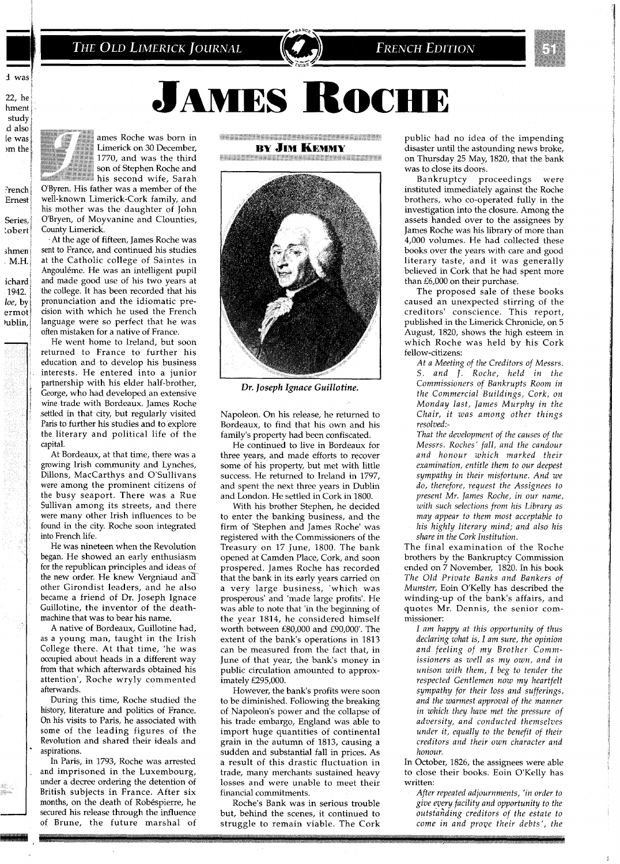# THE OLD LIMERICK JOURNAL

**FRENCH EDITION** 

**JAMES ROCHE** 

22, he hment study d also le was <sub>om</sub> the

French Ernest

Series, **lobert** 

shmen  $M.H.$ ichard 1942.

loe, by

ermot

hublin,

ames Roche was born in Limerick on 30 December. 1770, and was the third son of Stephen Roche and his second wife, Sarah O'Byren. His father was a member of the

well-known Limerick-Cork family, and his mother was the daughter of John O'Bryen, of Moyvanine and Clounties, County Limerick.

At the age of fifteen, James Roche was sent to France, and continued his studies at the Catholic college of Saintes in Angouléme. He was an intelligent pupil and made good use of his two years at the college. It has been recorded that his pronunciation and the idiomatic precision with which he used the French language were so perfect that he was often mistaken for a native of France.

He went home to Ireland, but soon returned to France to further his education and to develop his business interests. He entered into a junior partnership with his elder half-brother, George, who had developed an extensive wine trade with Bordeaux. James Roche settled in that city, but regularly visited Paris to further his studies and to explore the literary and political life of the capital.

At Bordeaux, at that time, there was a growing Irish community and Lynches, Dillons, MacCarthys and O'Sullivans were among the prominent citizens of the busy seaport. There was a Rue Sullivan among its streets, and there were many other Irish influences to be found in the city. Roche soon integrated into French life.

He was nineteen when the Revolution began. He showed an early enthusiasm for the republican principles and ideas of the new order. He knew Vergniaud and other Girondist leaders, and he also became a friend of Dr. Joseph Ignace Guillotine, the inventor of the deathmachine that was to bear his name.

A native of Bordeaux, Guillotine had, as a young man, taught in the Irish College there. At that time, 'he was occupied about heads in a different way from that which afterwards obtained his attention', Roche wryly commented afterwards.

During this time, Roche studied the history, literature and politics of France. On his visits to Paris, he associated with some of the leading figures of the Revolution and shared their ideals and aspirations.

In Paris, in 1793, Roche was arrested and imprisoned in the Luxembourg, under a decree ordering the detention of British subjects in France. After six months, on the death of Robéspierre, he secured his release through the influence of Brune, the future marshal of  $\label{eq:4.1} \begin{split} \frac{1}{2} \left\{ \left( \left( \frac{1}{2} \sum_{i=1}^{n} \left( \frac{1}{2} \sum_{i=1}^{n} \left( \frac{1}{2} \sum_{i=1}^{n} \left( \frac{1}{2} \sum_{i=1}^{n} \left( \frac{1}{2} \sum_{i=1}^{n} \left( \frac{1}{2} \sum_{i=1}^{n} \left( \frac{1}{2} \sum_{i=1}^{n} \left( \frac{1}{2} \sum_{i=1}^{n} \left( \frac{1}{2} \sum_{i=1}^{n} \left( \frac{1}{2} \sum$ **BY JIM KEMMY** 

*SHAMMANING A* 



Dr. Joseph Ignace Guillotine.

Napoleon. On his release, he returned to Bordeaux, to find that his own and his family's property had been confiscated.

He continued to live in Bordeaux for three years, and made efforts to recover some of his property, but met with little success. He returned to Ireland in 1797, and spent the next three years in Dublin and London. He settled in Cork in 1800.

With his brother Stephen, he decided to enter the banking business, and the firm of 'Stephen and James Roche' was registered with the Commissioners of the Treasury on 17 June, 1800. The bank opened at Camden Place, Cork, and soon prospered. James Roche has recorded that the bank in its early years carried on a very large business, 'which was prosperous' and 'made large profits'. He was able to note that 'in the beginning of the year 1814, he considered himself worth between £80,000 and £90,000'. The extent of the bank's operations in 1813 can be measured from the fact that, in June of that year, the bank's money in public circulation amounted to approximately £295,000.

However, the bank's profits were soon to be diminished. Following the breaking of Napoleon's power and the collapse of his trade embargo, England was able to import huge quantities of continental grain in the autumn of 1813, causing a sudden and substantial fall in prices. As a result of this drastic fluctuation in trade, many merchants sustained heavy losses and were unable to meet their financial commitments.

Roche's Bank was in serious trouble but, behind the scenes, it continued to struggle to remain viable. The Cork

public had no idea of the impending disaster until the astounding news broke, on Thursday 25 May, 1820, that the bank was to close its doors.

Bankruptcy proceedings were instituted immediately against the Roche brothers, who co-operated fully in the investigation into the closure. Among the assets handed over to the assignees by James Roche was his library of more than 4,000 volumes. He had collected these books over the years with care and good literary taste, and it was generally believed in Cork that he had spent more than £6,000 on their purchase.

The proposed sale of these books caused an unexpected stirring of the creditors' conscience. This report, published in the Limerick Chronicle, on 5 August, 1820, shows the high esteem in which Roche was held by his Cork fellow-citizens:

At a Meeting of the Creditors of Messrs. S. and J. Roche, held in the Commissioners of Bankrupts Room in the Commercial Buildings, Cork, on Monday last, James Murphy in the Chair, it was among other things resolved:-

That the development of the causes of the Messrs. Roches' fall, and the candour and honour which marked their examination, entitle them to our deepest sympathy in their misfortune. And we do, therefore, request the Assignees to present Mr. James Roche, in our name, with such selections from his Library as may appear to them most acceptable to his highly literary mind; and also his share in the Cork Institution.

The final examination of the Roche brothers by the Bankruptcy Commission ended on 7 November, 1820. In his book The Old Private Banks and Bankers of Munster, Eoin O'Kelly has described the winding-up of the bank's affairs, and quotes Mr. Dennis, the senior commissioner:

I am happy at this opportunity of thus declaring what is, I am sure, the opinion and feeling of my Brother Commissioners as well as my own, and in unison with them, I beg to tender the respected Gentlemen now my heartfelt sympathy for their loss and sufferings, and the warmest approval of the manner in which they have met the pressure of adversity, and conducted themselves under it, equally to the benefit of their creditors and their own character and honour.

In October, 1826, the assignees were able to close their books. Eoin O'Kelly has written:

After repeated adjournments, 'in order to give every facility and opportunity to the outstanding creditors of the estate to come in and prove their debts', the

d was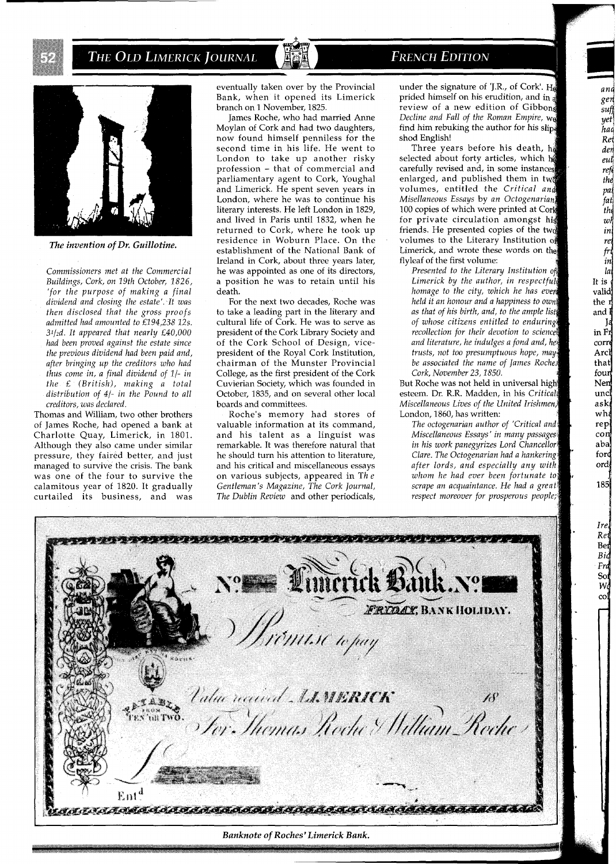



*The invention of Dr. Guillotine.* 

*Commissioners met at the Commercial Buildings, Cork, on 19th October, 1826, 'for the purpose of making a final*  dividend and closing the estate'. It was  $then$  disclosed that the gross proofs *admltted had amounted to £194,238 12s 31/zd It appeared that nearly £40,000 had been proved against the estate slnce the previous dividend had been paid and, after bringlng up the credttors who had thus come in, a final dividend of 1/- in the* £ *(British), making a total*  distribution of 4/- in the Pound to all *creditors, was declared.* 

Thomas and William, two other brothers of James Roche, had opened a bank at Charlotte Quay, Limerick, in 1801 Although they also came under similar pressure, they faired better, and just managed to survive the crisis The bank was one of the four to survive the calamitous year of 1820. It gradually curtailed its business, and was eventually taken over by the Provincial Bank, when it opened its Limerick branch on 1 November, 1825.

James Roche, who had married Anne Moylan of Cork and had two daughters, now found himself penniless for the second time in his life. He went to London to take up another risky profession - that of commercial and parliamentary agent to Cork, Youghal and Limerick. He spent seven years in London, where he was to continue his literary interests. He left London in 1829, and lived in Paris until 1832, when he returned to Cork, where he took up residence in Woburn Place. On the establishment of the National Bank of Ireland in Cork, about three years later, he was appointed as one of its directors, a position he was to retain until his death.

For the next two decades, Roche was to take a leading part in the literary and cultural life of Cork. He was to serve as president of the Cork Library Society and of the Cork School of Design, vicepresident of the Royal Cork Institution, chairman of the Munster Provincial College, as the first president of the Cork Cuvierian Society, which was iounded in October, 1835, and on several other local boards and committees.

Roche's memory had stores of valuable information at its command, and his talent as a linguist was remarkable. It was therefore natural that he should turn his attention to literature, and his critical and miscellaneous essays on various subjects, appeared in *Th e Gentleman's Magazine, The Cork Journal, The Dublin Review* and other periodicals, **FRENCH EDITION** 

under the signature of 'J.R., of Cork'.  $H_6$ prided himself on his erudition, and in a review of a new edition of Gibbon *Decline and Fall of the Roman Empire,* W find him rebuking the author for his slipshod English!

an gen sufj yet hac Ret der eul refi the pai fat  $th$  $w<sup>1</sup>$ in rei fri in  $|a|$ It is valid the r and I in Fr corre Arch that four Nen uncl ask wh rep con aba forc ord 185

> Ire Re

Ber Bid Frd  $So$ W,

Three years before his death, he selected about forty articles, which h carefully revised and, in some instances enlarged, and published them in two volumes, entitled the Critical and *Misellaneous Essays by an Octogenarian* 100 copies of which were printed at Cork for private circulation amongst his friends. He presented copies of the tw volumes to the Literary Institution of Limerick, and wrote these words on the flyleaf of the first volume:

*Presented to the Literary Institution of* Limerick by the author, in respectful *homage to the city, which he has held it an honour and a happiness to own as that of his birth, and, to the ample list of whose citizens entitled to enduring recollection for their devotion to science and literature, he indulges a fond and, he trusts, not too presumptuous hope, may be associated the name of James Roche. Cork, November 23,1850.* 

But Roche was not held in universal hig esteem. Dr. R.R. Madden, in his *Critica Miscellaneous Lives of the United Irishmen,*  London, 1860, has written:

*The octogenarian author of 'Critical and Miscellaneous Essays' in many passages in his work panegyrizes Lord Chancellor Clare. The Octogenarian had a hankering after lords, and especially any with whom he had ever scrape an acquaintance. He had a greati respect moreover for prosperous people;,* 

RINDI DINASI DI TALIFINI **FRIDAY, BANK HOLIDAY.** ,<br>AM110 topay Value received A. MERICK e<sup>s ab</sup>z.<br>Tenguno acadaa 21.1832.22.22.2<br>64° Shemas Roche & William Reche  $\text{Ent}^{\text{d}}$ TIII JAASAAAAAAAAAAAAAAAAAAAAAAAAA Banknote of Roches' Limerick Bank.